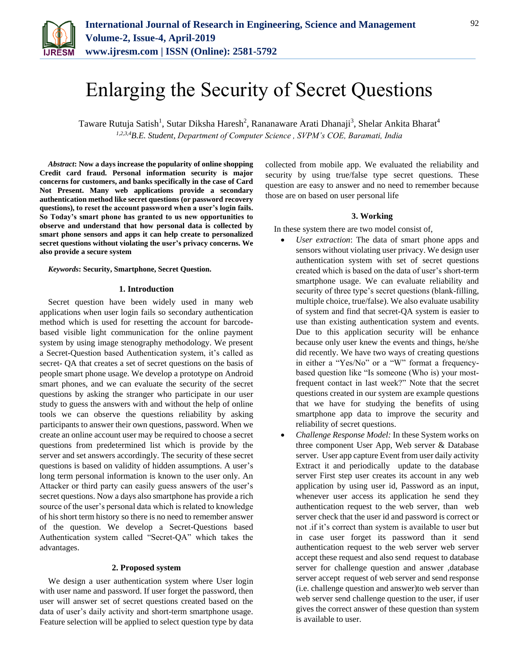

# Enlarging the Security of Secret Questions

Taware Rutuja Satish<sup>1</sup>, Sutar Diksha Haresh<sup>2</sup>, Rananaware Arati Dhanaji<sup>3</sup>, Shelar Ankita Bharat<sup>4</sup> *1,2,3,4B.E. Student, Department of Computer Science , SVPM's COE, Baramati, India*

*Abstract***: Now a days increase the popularity of online shopping Credit card fraud. Personal information security is major concerns for customers, and banks specifically in the case of Card Not Present. Many web applications provide a secondary authentication method like secret questions (or password recovery questions), to reset the account password when a user's login fails. So Today's smart phone has granted to us new opportunities to observe and understand that how personal data is collected by smart phone sensors and apps it can help create to personalized secret questions without violating the user's privacy concerns. We also provide a secure system** 

*Keywords***: Security, Smartphone, Secret Question.**

## **1. Introduction**

Secret question have been widely used in many web applications when user login fails so secondary authentication method which is used for resetting the account for barcodebased visible light communication for the online payment system by using image stenography methodology. We present a Secret-Question based Authentication system, it's called as secret- QA that creates a set of secret questions on the basis of people smart phone usage. We develop a prototype on Android smart phones, and we can evaluate the security of the secret questions by asking the stranger who participate in our user study to guess the answers with and without the help of online tools we can observe the questions reliability by asking participants to answer their own questions, password. When we create an online account user may be required to choose a secret questions from predetermined list which is provide by the server and set answers accordingly. The security of these secret questions is based on validity of hidden assumptions. A user's long term personal information is known to the user only. An Attacker or third party can easily guess answers of the user's secret questions. Now a days also smartphone has provide a rich source of the user's personal data which is related to knowledge of his short term history so there is no need to remember answer of the question. We develop a Secret-Questions based Authentication system called "Secret-QA" which takes the advantages.

## **2. Proposed system**

We design a user authentication system where User login with user name and password. If user forget the password, then user will answer set of secret questions created based on the data of user's daily activity and short-term smartphone usage. Feature selection will be applied to select question type by data collected from mobile app. We evaluated the reliability and security by using true/false type secret questions. These question are easy to answer and no need to remember because those are on based on user personal life

#### **3. Working**

In these system there are two model consist of,

- *User extraction*: The data of smart phone apps and sensors without violating user privacy. We design user authentication system with set of secret questions created which is based on the data of user's short-term smartphone usage. We can evaluate reliability and security of three type's secret questions (blank-filling, multiple choice, true/false). We also evaluate usability of system and find that secret-QA system is easier to use than existing authentication system and events. Due to this application security will be enhance because only user knew the events and things, he/she did recently. We have two ways of creating questions in either a "Yes/No" or a "W" format a frequencybased question like "Is someone (Who is) your mostfrequent contact in last week?" Note that the secret questions created in our system are example questions that we have for studying the benefits of using smartphone app data to improve the security and reliability of secret questions.
- *Challenge Response Model:* In these System works on three component User App, Web server & Database server. User app capture Event from user daily activity Extract it and periodically update to the database server First step user creates its account in any web application by using user id, Password as an input, whenever user access its application he send they authentication request to the web server, than web server check that the user id and password is correct or not .if it's correct than system is available to user but in case user forget its password than it send authentication request to the web server web server accept these request and also send request to database server for challenge question and answer ,database server accept request of web server and send response (i.e. challenge question and answer)to web server than web server send challenge question to the user, if user gives the correct answer of these question than system is available to user.